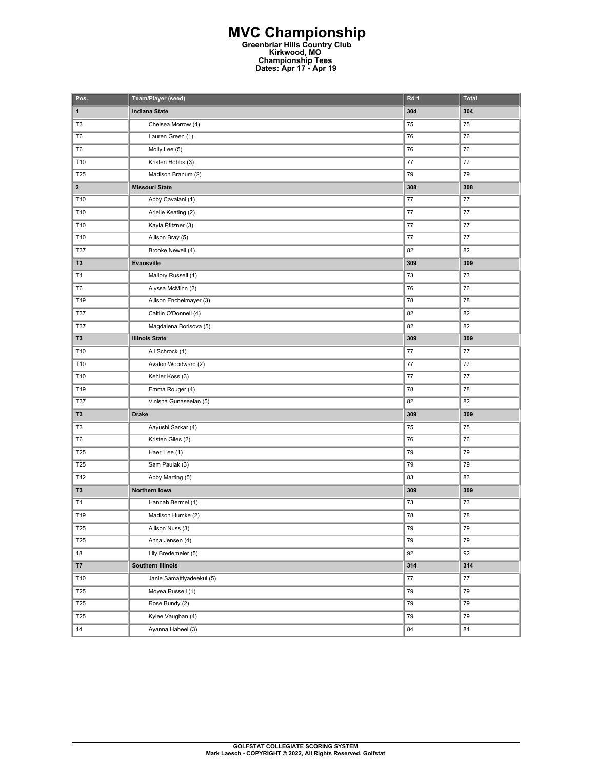## **MVC Championship Greenbriar Hills Country Club Kirkwood, MO Championship Tees Dates: Apr 17 - Apr 19**

| Pos.                    | Team/Player (seed)        | Rd 1    | Total           |
|-------------------------|---------------------------|---------|-----------------|
| $\mathbf{1}$            | <b>Indiana State</b>      | 304     | 304             |
| T <sub>3</sub>          | Chelsea Morrow (4)        | 75      | 75              |
| T6                      | Lauren Green (1)          | 76      | 76              |
| T <sub>6</sub>          | Molly Lee (5)             | 76      | 76              |
| T10                     | Kristen Hobbs (3)         | 77      | 77              |
| T25                     | Madison Branum (2)        | 79      | 79              |
| $\overline{\mathbf{2}}$ | <b>Missouri State</b>     | 308     | 308             |
| T10                     | Abby Cavaiani (1)         | 77      | 77              |
| T10                     | Arielle Keating (2)       | 77      | $77$            |
| T10                     | Kayla Pfitzner (3)        | 77      | $77\,$          |
| T10                     | Allison Bray (5)          | 77      | 77              |
| T37                     | Brooke Newell (4)         | 82      | 82              |
| T <sub>3</sub>          | Evansville                | 309     | 309             |
| T1                      | Mallory Russell (1)       | 73      | 73              |
| T6                      | Alyssa McMinn (2)         | 76      | 76              |
| T19                     | Allison Enchelmayer (3)   | 78      | 78              |
| <b>T37</b>              | Caitlin O'Donnell (4)     | 82      | 82              |
| T37                     | Magdalena Borisova (5)    | 82      | 82              |
| T3                      | <b>Illinois State</b>     | 309     | 309             |
| T10                     | Ali Schrock (1)           | 77      | $77$            |
| T10                     | Avalon Woodward (2)       | 77      | $77\,$          |
| T10                     | Kehler Koss (3)           | 77      | 77              |
| T19                     | Emma Rouger (4)           | 78      | 78              |
| T37                     | Vinisha Gunaseelan (5)    | 82      | 82              |
| T <sub>3</sub>          | <b>Drake</b>              | 309     | 309             |
| T3                      | Aayushi Sarkar (4)        | 75      | 75              |
| T6                      | Kristen Giles (2)         | 76      | 76              |
| T25                     | Haeri Lee (1)             | 79      | 79              |
| T25                     | Sam Paulak (3)            | 79      | 79              |
| T42                     | Abby Marting (5)          | 83      | 83              |
| T3                      | Northern Iowa             | 309     | 309             |
| T1                      | Hannah Bermel (1)         | 73      | 73              |
| T19                     | Madison Humke (2)         | 78      | 78              |
| <b>T25</b>              | Allison Nuss (3)          | 79      | $\overline{79}$ |
| T <sub>25</sub>         | Anna Jensen (4)           | 79      | 79              |
| 48                      | Lily Bredemeier (5)       | 92      | 92              |
| T7                      | <b>Southern Illinois</b>  | 314     | 314             |
| T10                     | Janie Samattiyadeekul (5) | $77 \,$ | 77              |
| <b>T25</b>              | Moyea Russell (1)         | 79      | 79              |
| T <sub>25</sub>         | Rose Bundy (2)            | 79      | 79              |
| <b>T25</b>              | Kylee Vaughan (4)         | 79      | 79              |
| 44                      | Ayanna Habeel (3)         | 84      | 84              |